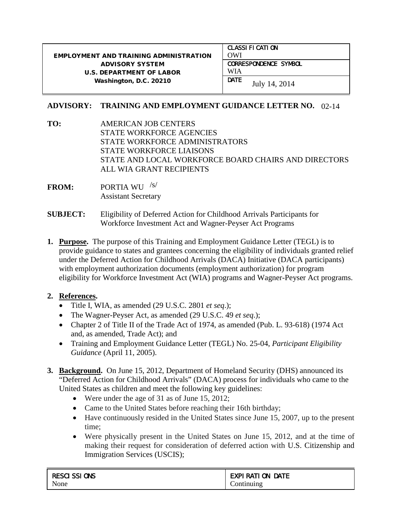## EMPLOYMENT AND TRAINING ADMINISTRATION ADVISORY SYSTEM U.S. DEPARTMENT OF LABOR Washington, D.C. 20210 CLASSIFICATION OWI CORRESPONDENCE SYMBOL WIA **DATE** July 14, 2014

## **ADVISORY: TRAINING AND EMPLOYMENT GUIDANCE LETTER NO.**  02-14

- **TO:** AMERICAN JOB CENTERS STATE WORKFORCE AGENCIES STATE WORKFORCE ADMINISTRATORS STATE WORKFORCE LIAISONS STATE AND LOCAL WORKFORCE BOARD CHAIRS AND DIRECTORS ALL WIA GRANT RECIPIENTS
- **FROM:** PORTIA WU /s/Assistant Secretary
- **SUBJECT:** Eligibility of Deferred Action for Childhood Arrivals Participants for Workforce Investment Act and Wagner-Peyser Act Programs
- **1. Purpose.** The purpose of this Training and Employment Guidance Letter (TEGL) is to provide guidance to states and grantees concerning the eligibility of individuals granted relief under the Deferred Action for Childhood Arrivals (DACA) Initiative (DACA participants) with employment authorization documents (employment authorization) for program eligibility for Workforce Investment Act (WIA) programs and Wagner-Peyser Act programs.

## **2. References.**

- Title I, WIA, as amended (29 U.S.C. 2801 *et seq*.);
- The Wagner-Peyser Act, as amended (29 U.S.C. 49 *et seq*.);
- Chapter 2 of Title II of the Trade Act of 1974, as amended (Pub. L. 93-618) (1974 Act and, as amended, Trade Act); and
- Training and Employment Guidance Letter (TEGL) No. 25-04, *Participant Eligibility Guidance* (April 11, 2005).
- **3. Background.** On June 15, 2012, Department of Homeland Security (DHS) announced its "Deferred Action for Childhood Arrivals" (DACA) process for individuals who came to the United States as children and meet the following key guidelines:
	- Were under the age of 31 as of June 15, 2012;
	- Came to the United States before reaching their 16th birthday;
	- Have continuously resided in the United States since June 15, 2007, up to the present time;
	- Were physically present in the United States on June 15, 2012, and at the time of making their request for consideration of deferred action with U.S. Citizenship and Immigration Services (USCIS);

| <b>RESCI SSI ONS</b> | <b>EXPI RATI ON DATE</b> |
|----------------------|--------------------------|
| None                 | Continuing               |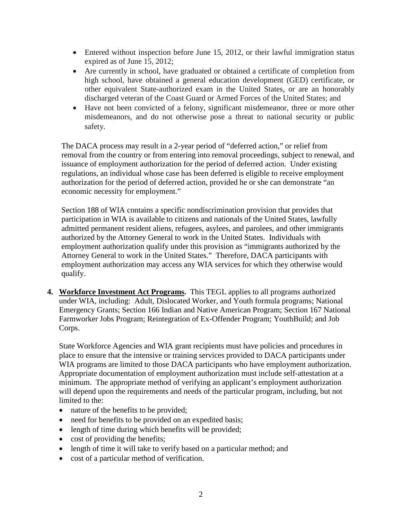- Entered without inspection before June 15, 2012, or their lawful immigration status expired as of June 15, 2012;
- Are currently in school, have graduated or obtained a certificate of completion from high school, have obtained a general education development (GED) certificate, or other equivalent State-authorized exam in the United States, or are an honorably discharged veteran of the Coast Guard or Armed Forces of the United States; and
- Have not been convicted of a felony, significant misdemeanor, three or more other misdemeanors, and do not otherwise pose a threat to national security or public safety.

The DACA process may result in a 2-year period of "deferred action," or relief from removal from the country or from entering into removal proceedings, subject to renewal, and issuance of employment authorization for the period of deferred action. Under existing regulations, an individual whose case has been deferred is eligible to receive employment authorization for the period of deferred action, provided he or she can demonstrate "an economic necessity for employment."

Section 188 of WIA contains a specific nondiscrimination provision that provides that participation in WIA is available to citizens and nationals of the United States, lawfully admitted permanent resident aliens, refugees, asylees, and parolees, and other immigrants authorized by the Attorney General to work in the United States. Individuals with employment authorization qualify under this provision as "immigrants authorized by the Attorney General to work in the United States." Therefore, DACA participants with employment authorization may access any WIA services for which they otherwise would qualify.

**4. Workforce Investment Act Programs.** This TEGL applies to all programs authorized under WIA, including: Adult, Dislocated Worker, and Youth formula programs; National Emergency Grants; Section 166 Indian and Native American Program; Section 167 National Farmworker Jobs Program; Reintegration of Ex-Offender Program; YouthBuild; and Job Corps.

State Workforce Agencies and WIA grant recipients must have policies and procedures in place to ensure that the intensive or training services provided to DACA participants under WIA programs are limited to those DACA participants who have employment authorization. Appropriate documentation of employment authorization must include self-attestation at a minimum. The appropriate method of verifying an applicant's employment authorization will depend upon the requirements and needs of the particular program, including, but not limited to the:

- nature of the benefits to be provided;
- need for benefits to be provided on an expedited basis;
- length of time during which benefits will be provided;
- cost of providing the benefits;
- length of time it will take to verify based on a particular method; and
- cost of a particular method of verification.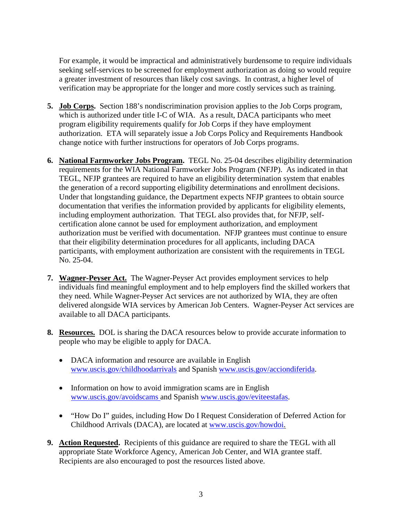For example, it would be impractical and administratively burdensome to require individuals seeking self-services to be screened for employment authorization as doing so would require a greater investment of resources than likely cost savings. In contrast, a higher level of verification may be appropriate for the longer and more costly services such as training.

- **5. Job Corps.** Section 188's nondiscrimination provision applies to the Job Corps program, which is authorized under title I-C of WIA. As a result, DACA participants who meet program eligibility requirements qualify for Job Corps if they have employment authorization. ETA will separately issue a Job Corps Policy and Requirements Handbook change notice with further instructions for operators of Job Corps programs.
- **6. National Farmworker Jobs Program.** TEGL No. 25-04 describes eligibility determination requirements for the WIA National Farmworker Jobs Program (NFJP). As indicated in that TEGL, NFJP grantees are required to have an eligibility determination system that enables the generation of a record supporting eligibility determinations and enrollment decisions. Under that longstanding guidance, the Department expects NFJP grantees to obtain source documentation that verifies the information provided by applicants for eligibility elements, including employment authorization. That TEGL also provides that, for NFJP, selfcertification alone cannot be used for employment authorization, and employment authorization must be verified with documentation. NFJP grantees must continue to ensure that their eligibility determination procedures for all applicants, including DACA participants, with employment authorization are consistent with the requirements in TEGL No. 25-04.
- **7. Wagner-Peyser Act.** The Wagner-Peyser Act provides employment services to help individuals find meaningful employment and to help employers find the skilled workers that they need. While Wagner-Peyser Act services are not authorized by WIA, they are often delivered alongside WIA services by American Job Centers. Wagner-Peyser Act services are available to all DACA participants.
- **8. Resources.** DOL is sharing the DACA resources below to provide accurate information to people who may be eligible to apply for DACA.
	- DACA information and resource are available in English [www.uscis.gov/childhoodarrivals](http://www.uscis.gov/childhoodarrivals) and Spanish [www.uscis.gov/acciondiferida.](http://www.uscis.gov/acciondiferida)
	- Information on how to avoid immigration scams are in English [www.uscis.gov/avoidscams](http://www.uscis.gov/avoidscams) and Spanish [www.uscis.gov/eviteestafas.](http://www.uscis.gov/eviteestafas)
	- "How Do I" guides, including How Do I Request Consideration of Deferred Action for Childhood Arrivals (DACA), are located at [www.uscis.gov/howdoi.](http://www.uscis.gov/howdoi)
- **9. Action Requested.** Recipients of this guidance are required to share the TEGL with all appropriate State Workforce Agency, American Job Center, and WIA grantee staff. Recipients are also encouraged to post the resources listed above.